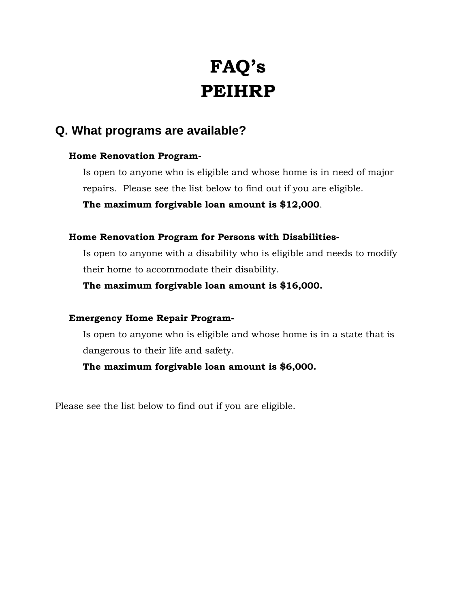# **FAQ's PEIHRP**

## **Q. What programs are available?**

#### **Home Renovation Program-**

Is open to anyone who is eligible and whose home is in need of major repairs. Please see the list below to find out if you are eligible.

**The maximum forgivable loan amount is \$12,000**.

#### **Home Renovation Program for Persons with Disabilities-**

 Is open to anyone with a disability who is eligible and needs to modify their home to accommodate their disability.

**The maximum forgivable loan amount is \$16,000.** 

#### **Emergency Home Repair Program-**

Is open to anyone who is eligible and whose home is in a state that is dangerous to their life and safety.

**The maximum forgivable loan amount is \$6,000.** 

Please see the list below to find out if you are eligible.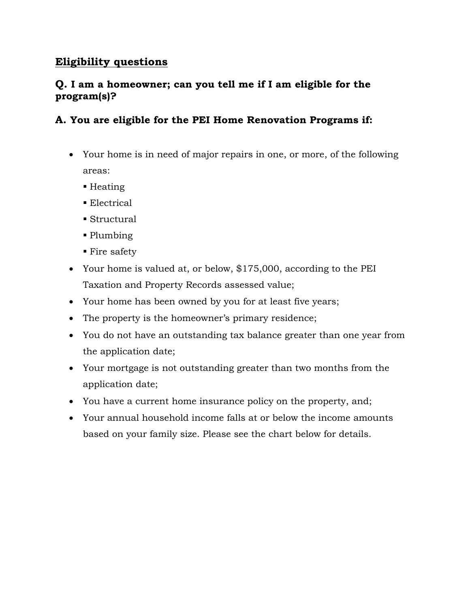## **Eligibility questions**

## **Q. I am a homeowner; can you tell me if I am eligible for the program(s)?**

## **A. You are eligible for the PEI Home Renovation Programs if:**

- Your home is in need of major repairs in one, or more, of the following areas:
	- $\blacksquare$  Heating
	- **Electrical**
	- Structural
	- Plumbing
	- Fire safety
- Your home is valued at, or below, \$175,000, according to the PEI Taxation and Property Records assessed value;
- Your home has been owned by you for at least five years;
- The property is the homeowner's primary residence;
- You do not have an outstanding tax balance greater than one year from the application date;
- Your mortgage is not outstanding greater than two months from the application date;
- You have a current home insurance policy on the property, and;
- Your annual household income falls at or below the income amounts based on your family size. Please see the chart below for details.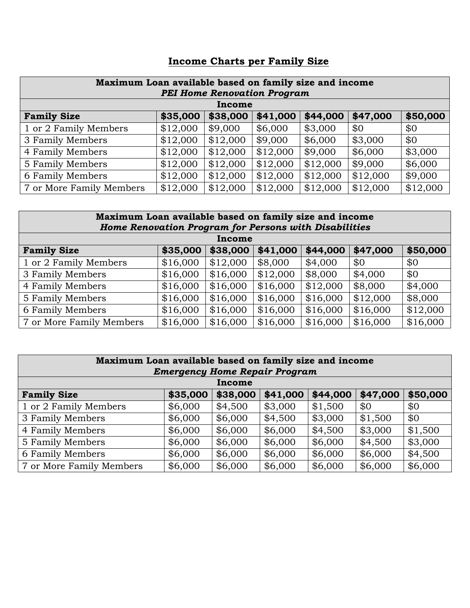|--|

| Maximum Loan available based on family size and income |          |          |          |          |          |          |  |  |
|--------------------------------------------------------|----------|----------|----------|----------|----------|----------|--|--|
| <b>PEI Home Renovation Program</b><br>Income           |          |          |          |          |          |          |  |  |
| <b>Family Size</b>                                     | \$35,000 | \$38,000 | \$41,000 | \$44,000 | \$47,000 | \$50,000 |  |  |
| 1 or 2 Family Members                                  | \$12,000 | \$9,000  | \$6,000  | \$3,000  | \$0      | \$0      |  |  |
| 3 Family Members                                       | \$12,000 | \$12,000 | \$9,000  | \$6,000  | \$3,000  | \$0      |  |  |
| 4 Family Members                                       | \$12,000 | \$12,000 | \$12,000 | \$9,000  | \$6,000  | \$3,000  |  |  |
| 5 Family Members                                       | \$12,000 | \$12,000 | \$12,000 | \$12,000 | \$9,000  | \$6,000  |  |  |
| 6 Family Members                                       | \$12,000 | \$12,000 | \$12,000 | \$12,000 | \$12,000 | \$9,000  |  |  |
| 7 or More Family Members                               | \$12,000 | \$12,000 | \$12,000 | \$12,000 | \$12,000 | \$12,000 |  |  |

#### **Maximum Loan available based on family size and income**  *Home Renovation Program for Persons with Disabilities*

| Income                   |          |          |          |          |          |          |  |  |
|--------------------------|----------|----------|----------|----------|----------|----------|--|--|
| <b>Family Size</b>       | \$35,000 | \$38,000 | \$41,000 | \$44,000 | \$47,000 | \$50,000 |  |  |
| 1 or 2 Family Members    | \$16,000 | \$12,000 | \$8,000  | \$4,000  | \$0      | \$0      |  |  |
| 3 Family Members         | \$16,000 | \$16,000 | \$12,000 | \$8,000  | \$4,000  | \$0      |  |  |
| 4 Family Members         | \$16,000 | \$16,000 | \$16,000 | \$12,000 | \$8,000  | \$4,000  |  |  |
| 5 Family Members         | \$16,000 | \$16,000 | \$16,000 | \$16,000 | \$12,000 | \$8,000  |  |  |
| 6 Family Members         | \$16,000 | \$16,000 | \$16,000 | \$16,000 | \$16,000 | \$12,000 |  |  |
| 7 or More Family Members | \$16,000 | \$16,000 | \$16,000 | \$16,000 | \$16,000 | \$16,000 |  |  |

| Maximum Loan available based on family size and income<br><b>Emergency Home Repair Program</b> |          |          |          |          |          |          |  |  |
|------------------------------------------------------------------------------------------------|----------|----------|----------|----------|----------|----------|--|--|
|                                                                                                |          | Income   |          |          |          |          |  |  |
| <b>Family Size</b>                                                                             | \$35,000 | \$38,000 | \$41,000 | \$44,000 | \$47,000 | \$50,000 |  |  |
| 1 or 2 Family Members                                                                          | \$6,000  | \$4,500  | \$3,000  | \$1,500  | \$0      | \$0      |  |  |
| 3 Family Members                                                                               | \$6,000  | \$6,000  | \$4,500  | \$3,000  | \$1,500  | \$0      |  |  |
| 4 Family Members                                                                               | \$6,000  | \$6,000  | \$6,000  | \$4,500  | \$3,000  | \$1,500  |  |  |
| 5 Family Members                                                                               | \$6,000  | \$6,000  | \$6,000  | \$6,000  | \$4,500  | \$3,000  |  |  |
| 6 Family Members                                                                               | \$6,000  | \$6,000  | \$6,000  | \$6,000  | \$6,000  | \$4,500  |  |  |
| 7 or More Family Members                                                                       | \$6,000  | \$6,000  | \$6,000  | \$6,000  | \$6,000  | \$6,000  |  |  |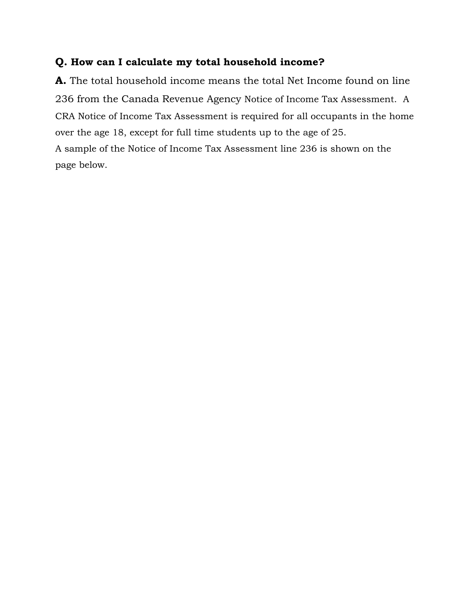### **Q. How can I calculate my total household income?**

**A.** The total household income means the total Net Income found on line 236 from the Canada Revenue Agency Notice of Income Tax Assessment. A CRA Notice of Income Tax Assessment is required for all occupants in the home over the age 18, except for full time students up to the age of 25. A sample of the Notice of Income Tax Assessment line 236 is shown on the page below.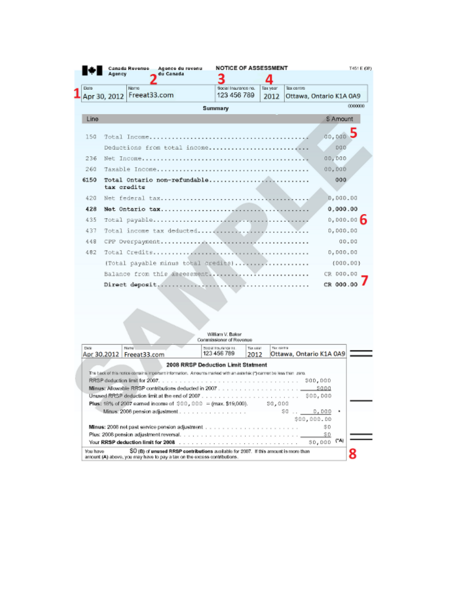|      | Canada Revenue | Agence du revenu | <b>NOTICE OF ASSESSMENT</b>         |          |             | T451 E (08)             |
|------|----------------|------------------|-------------------------------------|----------|-------------|-------------------------|
|      | Agency         | du Canada        |                                     |          |             |                         |
| Date | Nomo           |                  | Social Insurance no.                | Tax year | Tox control |                         |
|      | Apr 30, 2012   | Freeat33.com     | 123 456 789                         | 2012     |             | Ottawa, Ontario K1A 0A9 |
|      |                |                  | Summary                             |          |             | 0000000                 |
| Line |                |                  |                                     |          |             | S Amount                |
|      |                |                  |                                     |          |             |                         |
| 150  |                |                  |                                     |          |             | 00,000                  |
|      |                |                  | Deductions from total income        |          |             | 000                     |
| 236  |                |                  |                                     |          |             | 00,000                  |
| 260  |                |                  |                                     |          |             | 00,000                  |
| 6150 | tax credits    |                  | Total Ontario non-refundable        |          |             | 000                     |
| 420  |                |                  |                                     |          |             | 0,000.00                |
| 428  |                |                  |                                     |          |             | 0,000.00                |
| 435  |                |                  |                                     |          |             | 0,000.00                |
| 437  |                |                  |                                     |          |             | 0,000.00                |
| 448  |                |                  |                                     |          |             | 00.00                   |
| 482  |                |                  |                                     |          |             | 0,000.00                |
|      |                |                  | (Total payable minus total credits) |          |             | (000.00)                |
|      |                |                  | Balance from this assessment        |          |             | CR DOD.DO               |
|      |                |                  |                                     |          |             | CR 000.00               |

|                 |                                                                                                                                                                 | William V. Baker<br>Commissioner of Revenue |                  |            |                         |     |
|-----------------|-----------------------------------------------------------------------------------------------------------------------------------------------------------------|---------------------------------------------|------------------|------------|-------------------------|-----|
| Date:           | Martial<br>Apr 30,2012   Freeat33.com                                                                                                                           | Product froughteness as<br>123 456 789      | Tim sear<br>2012 | The contra | Ottawa, Ontario K1A 0A9 |     |
|                 |                                                                                                                                                                 | 2008 RRSP Deduction Limit Statment          |                  |            |                         |     |
|                 | The back of this notice consins important information. Amounts marked with an asterisk (") cannot be less than zero.                                            |                                             |                  |            |                         |     |
|                 |                                                                                                                                                                 |                                             |                  |            | \$00,000                |     |
|                 |                                                                                                                                                                 |                                             |                  |            | sapa                    |     |
|                 |                                                                                                                                                                 |                                             |                  |            |                         |     |
|                 | Plus: 18% of 2007 earned income of $$00,000 = (max, $19,000)$ .                                                                                                 |                                             |                  | \$0,000    |                         |     |
|                 | Minus: 2006 pension adjustment                                                                                                                                  |                                             |                  |            | \$0.000                 |     |
|                 |                                                                                                                                                                 |                                             |                  |            | \$00,000.00             |     |
|                 |                                                                                                                                                                 |                                             |                  |            | SD                      |     |
|                 |                                                                                                                                                                 |                                             |                  |            |                         |     |
|                 |                                                                                                                                                                 |                                             |                  |            | \$0,000                 | (4) |
| <b>You have</b> | SO (B) of unused RRSP contributions available for 2007. If this amount is more than<br>amount (A) above, you may have to pay a tax on the excess contributions. |                                             |                  |            |                         |     |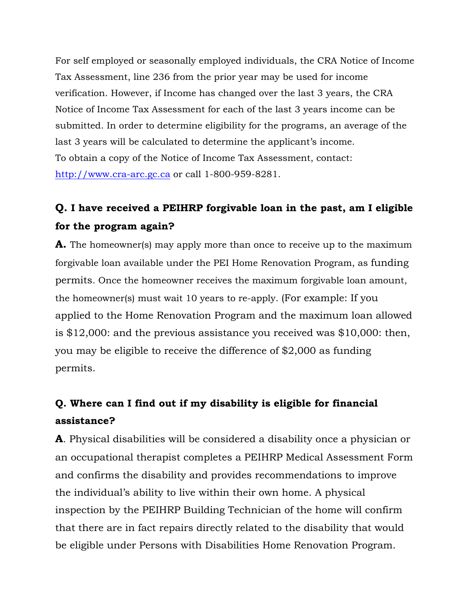For self employed or seasonally employed individuals, the CRA Notice of Income Tax Assessment, line 236 from the prior year may be used for income verification. However, if Income has changed over the last 3 years, the CRA Notice of Income Tax Assessment for each of the last 3 years income can be submitted. In order to determine eligibility for the programs, an average of the last 3 years will be calculated to determine the applicant's income. To obtain a copy of the Notice of Income Tax Assessment, contact: http://www.cra-arc.gc.ca or call 1-800-959-8281.

# **Q. I have received a PEIHRP forgivable loan in the past, am I eligible for the program again?**

**A.** The homeowner(s) may apply more than once to receive up to the maximum forgivable loan available under the PEI Home Renovation Program, as funding permits. Once the homeowner receives the maximum forgivable loan amount, the homeowner(s) must wait 10 years to re-apply. (For example: If you applied to the Home Renovation Program and the maximum loan allowed is \$12,000: and the previous assistance you received was \$10,000: then, you may be eligible to receive the difference of \$2,000 as funding permits.

# **Q. Where can I find out if my disability is eligible for financial assistance?**

**A**. Physical disabilities will be considered a disability once a physician or an occupational therapist completes a PEIHRP Medical Assessment Form and confirms the disability and provides recommendations to improve the individual's ability to live within their own home. A physical inspection by the PEIHRP Building Technician of the home will confirm that there are in fact repairs directly related to the disability that would be eligible under Persons with Disabilities Home Renovation Program.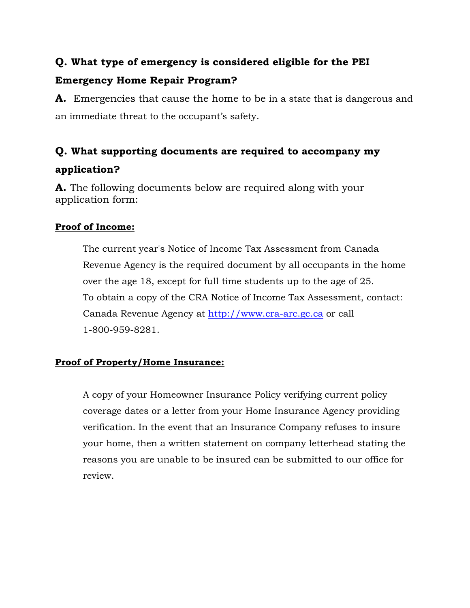# **Q. What type of emergency is considered eligible for the PEI Emergency Home Repair Program?**

**A.** Emergencies that cause the home to be in a state that is dangerous and an immediate threat to the occupant's safety.

# **Q. What supporting documents are required to accompany my application?**

**A.** The following documents below are required along with your application form:

## **Proof of Income:**

The current year's Notice of Income Tax Assessment from Canada Revenue Agency is the required document by all occupants in the home over the age 18, except for full time students up to the age of 25. To obtain a copy of the CRA Notice of Income Tax Assessment, contact: Canada Revenue Agency at http://www.cra-arc.gc.ca or call 1-800-959-8281.

#### **Proof of Property/Home Insurance:**

A copy of your Homeowner Insurance Policy verifying current policy coverage dates or a letter from your Home Insurance Agency providing verification. In the event that an Insurance Company refuses to insure your home, then a written statement on company letterhead stating the reasons you are unable to be insured can be submitted to our office for review.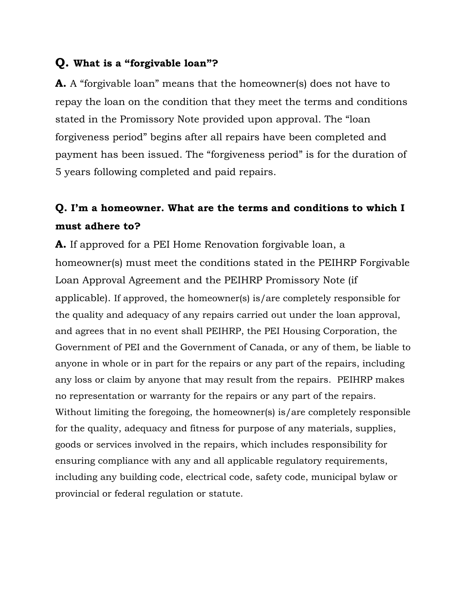## **Q. What is a "forgivable loan"?**

**A.** A "forgivable loan" means that the homeowner(s) does not have to repay the loan on the condition that they meet the terms and conditions stated in the Promissory Note provided upon approval. The "loan forgiveness period" begins after all repairs have been completed and payment has been issued. The "forgiveness period" is for the duration of 5 years following completed and paid repairs.

# **Q. I'm a homeowner. What are the terms and conditions to which I must adhere to?**

**A.** If approved for a PEI Home Renovation forgivable loan, a homeowner(s) must meet the conditions stated in the PEIHRP Forgivable Loan Approval Agreement and the PEIHRP Promissory Note (if applicable). If approved, the homeowner(s) is/are completely responsible for the quality and adequacy of any repairs carried out under the loan approval, and agrees that in no event shall PEIHRP, the PEI Housing Corporation, the Government of PEI and the Government of Canada, or any of them, be liable to anyone in whole or in part for the repairs or any part of the repairs, including any loss or claim by anyone that may result from the repairs. PEIHRP makes no representation or warranty for the repairs or any part of the repairs. Without limiting the foregoing, the homeowner(s) is/are completely responsible for the quality, adequacy and fitness for purpose of any materials, supplies, goods or services involved in the repairs, which includes responsibility for ensuring compliance with any and all applicable regulatory requirements, including any building code, electrical code, safety code, municipal bylaw or provincial or federal regulation or statute.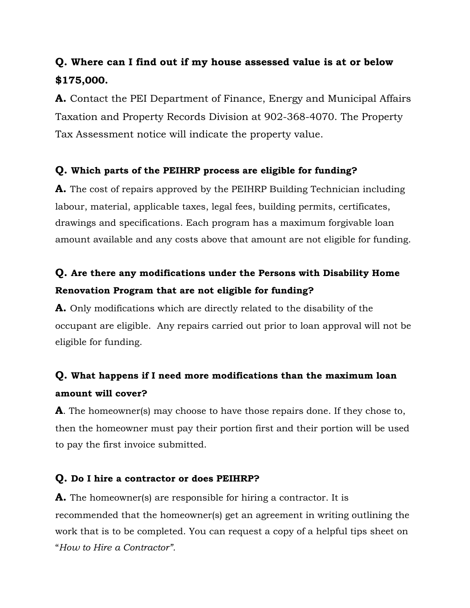# **Q. Where can I find out if my house assessed value is at or below \$175,000.**

**A.** Contact the PEI Department of Finance, Energy and Municipal Affairs Taxation and Property Records Division at 902-368-4070. The Property Tax Assessment notice will indicate the property value.

#### **Q. Which parts of the PEIHRP process are eligible for funding?**

**A.** The cost of repairs approved by the PEIHRP Building Technician including labour, material, applicable taxes, legal fees, building permits, certificates, drawings and specifications. Each program has a maximum forgivable loan amount available and any costs above that amount are not eligible for funding.

## **Q. Are there any modifications under the Persons with Disability Home Renovation Program that are not eligible for funding?**

**A.** Only modifications which are directly related to the disability of the occupant are eligible. Any repairs carried out prior to loan approval will not be eligible for funding.

# **Q. What happens if I need more modifications than the maximum loan amount will cover?**

**A**. The homeowner(s) may choose to have those repairs done. If they chose to, then the homeowner must pay their portion first and their portion will be used to pay the first invoice submitted.

## **Q. Do I hire a contractor or does PEIHRP?**

A. The homeowner(s) are responsible for hiring a contractor. It is recommended that the homeowner(s) get an agreement in writing outlining the work that is to be completed. You can request a copy of a helpful tips sheet on "*How to Hire a Contractor".*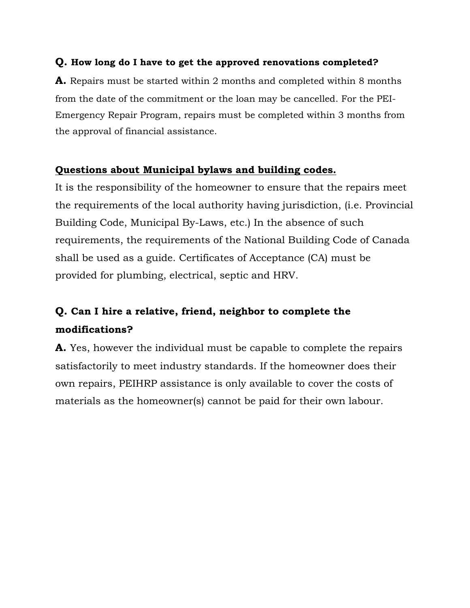#### **Q. How long do I have to get the approved renovations completed?**

**A.** Repairs must be started within 2 months and completed within 8 months from the date of the commitment or the loan may be cancelled. For the PEI-Emergency Repair Program, repairs must be completed within 3 months from the approval of financial assistance.

#### **Questions about Municipal bylaws and building codes.**

It is the responsibility of the homeowner to ensure that the repairs meet the requirements of the local authority having jurisdiction, (i.e. Provincial Building Code, Municipal By-Laws, etc.) In the absence of such requirements, the requirements of the National Building Code of Canada shall be used as a guide. Certificates of Acceptance (CA) must be provided for plumbing, electrical, septic and HRV.

# **Q. Can I hire a relative, friend, neighbor to complete the modifications?**

**A.** Yes, however the individual must be capable to complete the repairs satisfactorily to meet industry standards. If the homeowner does their own repairs, PEIHRP assistance is only available to cover the costs of materials as the homeowner(s) cannot be paid for their own labour.